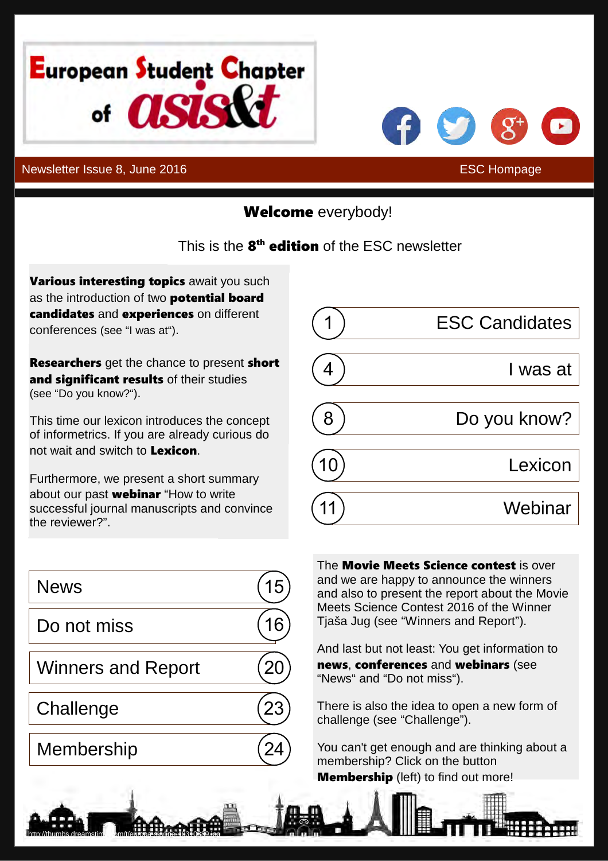<span id="page-0-0"></span>



# Welcome everybody!

### This is the 8<sup>th</sup> edition of the ESC newsletter

Various interesting topics await you such as the introduction of two **potential board** candidates and experiences on different conferences (see ["I was at"](#page-4-0)).

**Researchers** get the chance to present short and significant results of their studies (see ["Do you know?"\)](#page-8-0).

This time our lexicon introduces the concept of informetrics. If you are already curious do not wait and switch to [Lexicon](#page-10-0).

Furthermore, we present a short summary about our past [webinar](#page-11-0) "How to write successful journal manuscripts and convince the reviewer?".

| <b>News</b>               |  |
|---------------------------|--|
| Do not miss               |  |
| <b>Winners and Report</b> |  |
| Challenge                 |  |
| <b>Membership</b>         |  |

The **Movie Meets Science contest** is over and we are happy to announce the winners and also to present the report about the Movie Meets Science Contest 2016 of the Winner Tjaša Jug (see ["Winners and Report"](#page-20-0)).

And last but not least: You get information to news, conferences and webinars (see ["News"](#page-15-0) and ["Do not miss"\)](#page-16-0).

There is also the idea to open a new form of challenge (see ["Challenge"](#page-23-0)).

You can't get enough and are thinking about a membership? Click on the button **[Membership](#page-24-0)** (left) to find out more!



<http://thumbs.dreamstime.com/t/europa-skyline-48310889.jpg>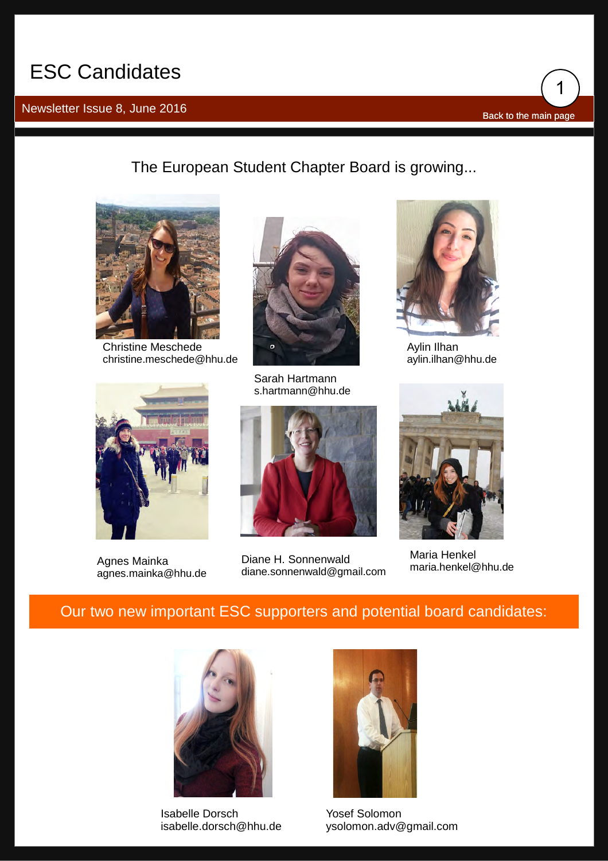## <span id="page-1-0"></span>ESC Candidates

## Newsletter Issue 8, June 2016 **[Back to the main page](#page-0-0)**

1

The European Student Chapter Board is growing...



Christine Meschede [christine.meschede@hhu.de](mailto:Christine.Meschede@hhu.de)



Agnes Mainka [agnes.mainka@hhu.de](mailto:Agnes.Mainka@hhu.de)



Sarah Hartmann [s.hartmann@hhu.de](mailto:S.Hartmann@hhu.de)



Diane H. Sonnenwald<br>diane sonnenwald@gmail.com [maria.henkel@hhu.de](mailto:Maria.Henkel@hhu.de) [diane.sonnenwald@gmail.com](mailto:Diane.Sonnenwald@gmail.com)



Aylin Ilhan [aylin.ilhan@hhu.de](mailto:Aylin.Ilhan@hhu.de)



Maria Henkel

### Our two new important ESC supporters and potential board candidates:



Isabelle Dorsch [isabelle.dorsch@hhu.de](mailto:Isabelle.Dorsch@hhu.de)



Yosef Solomon [ysolomon.adv@gmail.com](mailto:Ysolomon.adv@gmail.com)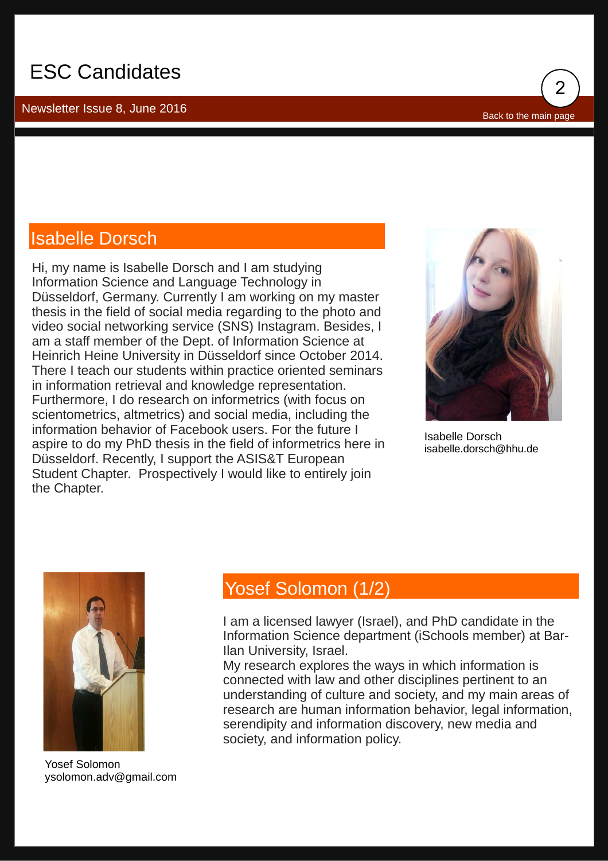## ESC Candidates

Newsletter Issue 8, June 2016



### Isabelle Dorsch

Hi, my name is Isabelle Dorsch and I am studying Information Science and Language Technology in Düsseldorf, Germany. Currently I am working on my master thesis in the field of social media regarding to the photo and video social networking service (SNS) Instagram. Besides, I am a staff member of the Dept. of Information Science at Heinrich Heine University in Düsseldorf since October 2014. There I teach our students within practice oriented seminars in information retrieval and knowledge representation. Furthermore, I do research on informetrics (with focus on scientometrics, altmetrics) and social media, including the information behavior of Facebook users. For the future I aspire to do my PhD thesis in the field of informetrics here in Düsseldorf. Recently, I support the ASIS&T European Student Chapter. Prospectively I would like to entirely join the Chapter.



Isabelle Dorsch [isabelle.dorsch@hhu.de](mailto:Isabelle.Dorsch@hhu.de)



Yosef Solomon [ysolomon.adv@gmail.com](mailto:Ysolomon.adv@gmail.com)

### Yosef Solomon (1/2)

I am a licensed lawyer (Israel), and PhD candidate in the Information Science department (iSchools member) at Bar-Ilan University, Israel.

My research explores the ways in which information is connected with law and other disciplines pertinent to an understanding of culture and society, and my main areas of research are human information behavior, legal information, serendipity and information discovery, new media and society, and information policy.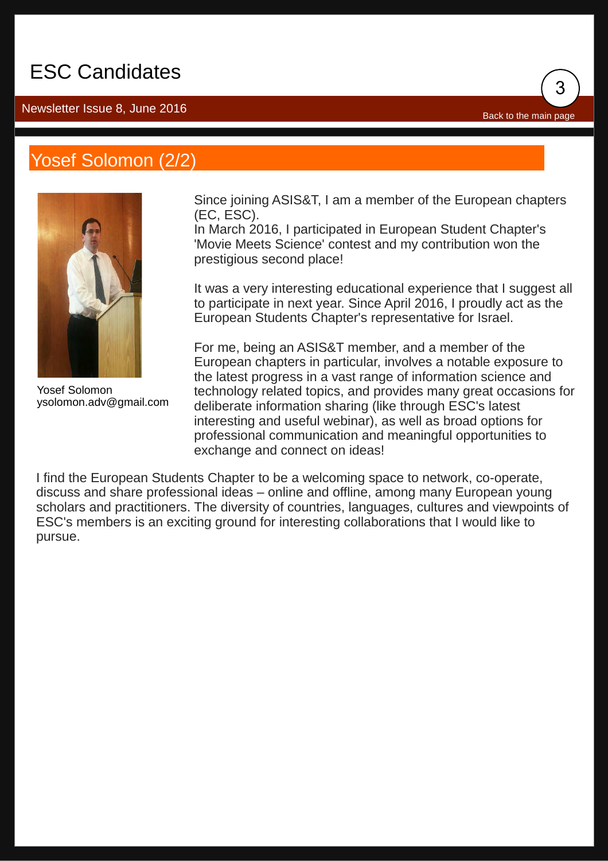## ESC Candidates

### Newsletter Issue 8, June 2016

## Yosef Solomon (2/2)



Yosef Solomon [ysolomon.adv@gmail.com](mailto:Ysolomon.adv@gmail.com)

Since joining ASIS&T, I am a member of the European chapters (EC, ESC).

3

[Back to the main page](#page-0-0)

In March 2016, I participated in European Student Chapter's 'Movie Meets Science' contest and my contribution won the prestigious second place!

It was a very interesting educational experience that I suggest all to participate in next year. Since April 2016, I proudly act as the European Students Chapter's representative for Israel.

For me, being an ASIS&T member, and a member of the European chapters in particular, involves a notable exposure to the latest progress in a vast range of information science and technology related topics, and provides many great occasions for deliberate information sharing (like through ESC's latest interesting and useful webinar), as well as broad options for professional communication and meaningful opportunities to exchange and connect on ideas!

I find the European Students Chapter to be a welcoming space to network, co-operate, discuss and share professional ideas – online and offline, among many European young scholars and practitioners. The diversity of countries, languages, cultures and viewpoints of ESC's members is an exciting ground for interesting collaborations that I would like to pursue.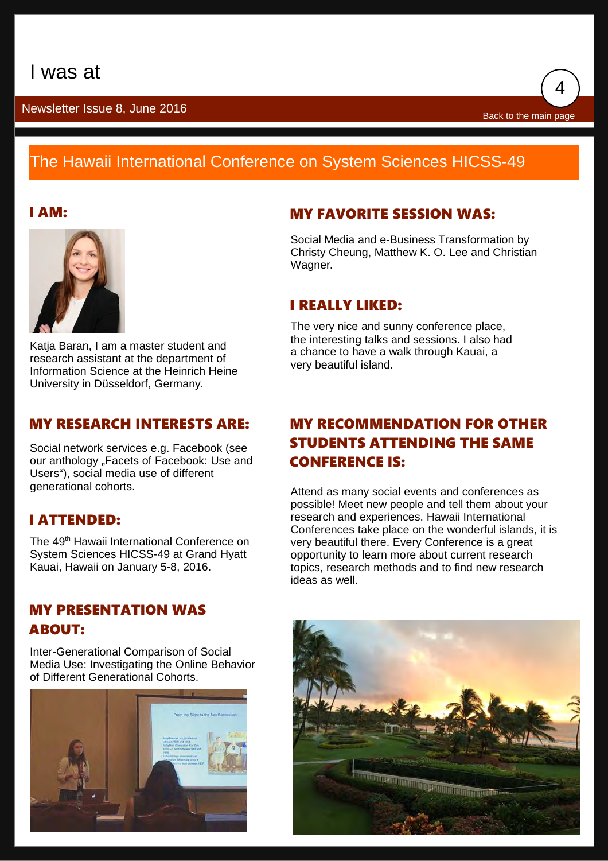

## <span id="page-4-0"></span>The Hawaii International Conference on System Sciences HICSS-49



Katia Baran, I am a master student and research assistant at the department of Information Science at the Heinrich Heine University in Düsseldorf, Germany.

#### MY RESEARCH INTERESTS ARE:

Social network services e.g. Facebook (see our anthology "Facets of Facebook: Use and Users"), social media use of different generational cohorts.

### I ATTENDED:

The 49<sup>th</sup> Hawaii International Conference on System Sciences HICSS-49 at Grand Hyatt Kauai, Hawaii on January 5-8, 2016.

#### MY PRESENTATION WAS ABOUT:

Inter-Generational Comparison of Social Media Use: Investigating the Online Behavior of Different Generational Cohorts.



### **I AM:** MY FAVORITE SESSION WAS:

Social Media and e-Business Transformation by Christy Cheung, Matthew K. O. Lee and Christian Wagner.

#### I REALLY LIKED:

The very nice and sunny conference place, the interesting talks and sessions. I also had a chance to have a walk through Kauai, a very beautiful island.

### MY RECOMMENDATION FOR OTHER STUDENTS ATTENDING THE SAME CONFERENCE IS:

Attend as many social events and conferences as possible! Meet new people and tell them about your research and experiences. Hawaii International Conferences take place on the wonderful islands, it is very beautiful there. Every Conference is a great opportunity to learn more about current research topics, research methods and to find new research ideas as well.

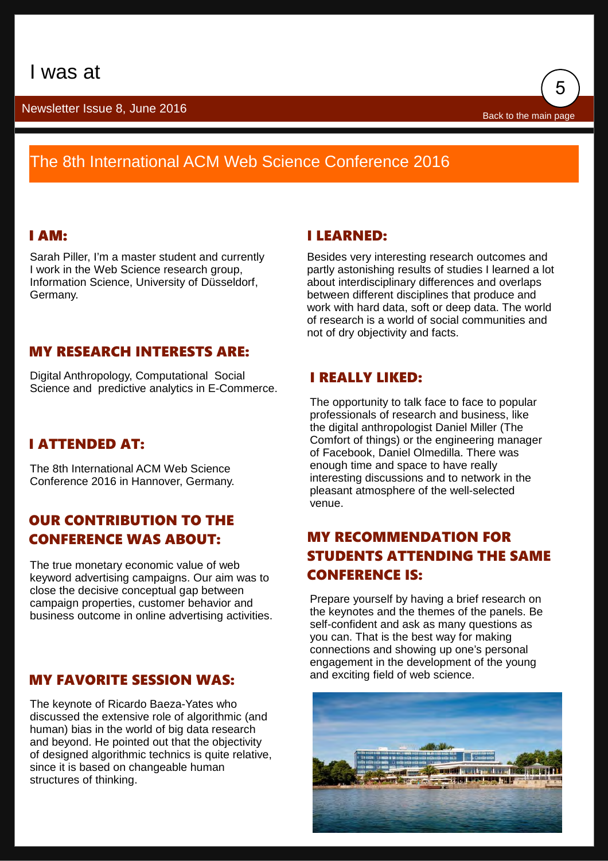

## The 8th International ACM Web Science Conference 2016

#### I AM:

Sarah Piller, I'm a master student and currently I work in the Web Science research group, Information Science, University of Düsseldorf, Germany.

#### I LEARNED:

Besides very interesting research outcomes and partly astonishing results of studies I learned a lot about interdisciplinary differences and overlaps between different disciplines that produce and work with hard data, soft or deep data. The world of research is a world of social communities and not of dry objectivity and facts.

### MY RESEARCH INTERESTS ARE:

Digital Anthropology, Computational Social Science and predictive analytics in E-Commerce.

### I ATTENDED AT:

The 8th International ACM Web Science Conference 2016 in Hannover, Germany.

### OUR CONTRIBUTION TO THE CONFERENCE WAS ABOUT:

The true monetary economic value of web keyword advertising campaigns. Our aim was to close the decisive conceptual gap between campaign properties, customer behavior and business outcome in online advertising activities.

### MY FAVORITE SESSION WAS:

The keynote of Ricardo Baeza-Yates who discussed the extensive role of algorithmic (and human) bias in the world of big data research and beyond. He pointed out that the objectivity of designed algorithmic technics is quite relative, since it is based on changeable human structures of thinking.

#### I REALLY LIKED:

The opportunity to talk face to face to popular professionals of research and business, like the digital anthropologist Daniel Miller (The Comfort of things) or the engineering manager of Facebook, Daniel Olmedilla. There was enough time and space to have really interesting discussions and to network in the pleasant atmosphere of the well-selected venue.

### MY RECOMMENDATION FOR STUDENTS ATTENDING THE SAME CONFERENCE IS:

Prepare yourself by having a brief research on the keynotes and the themes of the panels. Be self-confident and ask as many questions as you can. That is the best way for making connections and showing up one's personal engagement in the development of the young and exciting field of web science.

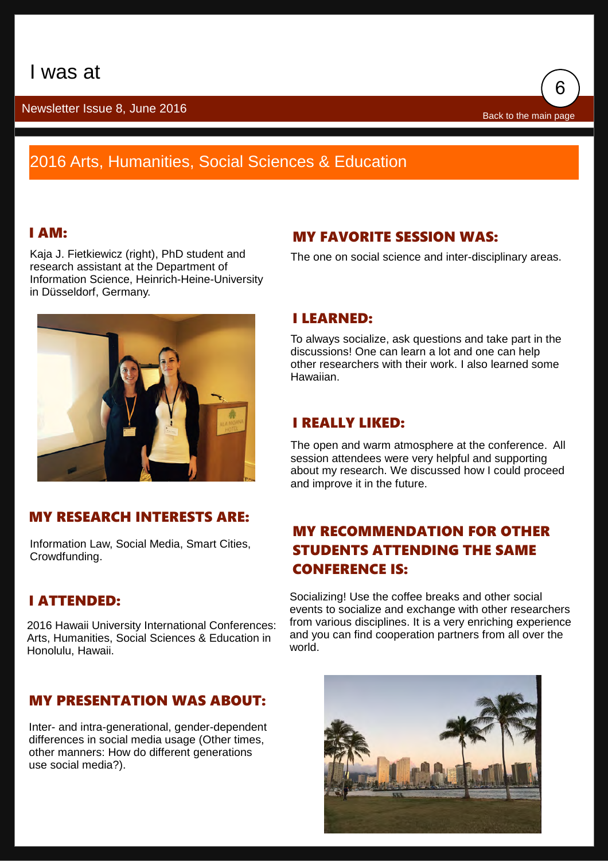

## 2016 Arts, Humanities, Social Sciences & Education

### I AM:

Kaja J. Fietkiewicz (right), PhD student and research assistant at the Department of Information Science, Heinrich-Heine-University in Düsseldorf, Germany.



### MY RESEARCH INTERESTS ARE:

Information Law, Social Media, Smart Cities, Crowdfunding.

### I ATTENDED:

2016 Hawaii University International Conferences: Arts, Humanities, Social Sciences & Education in Honolulu, Hawaii.

### MY PRESENTATION WAS ABOUT:

Inter- and intra-generational, gender-dependent differences in social media usage (Other times, other manners: How do different generations use social media?).

### MY FAVORITE SESSION WAS:

The one on social science and inter-disciplinary areas.

#### I LEARNED:

To always socialize, ask questions and take part in the discussions! One can learn a lot and one can help other researchers with their work. I also learned some Hawaiian.

#### I REALLY LIKED:

The open and warm atmosphere at the conference. All session attendees were very helpful and supporting about my research. We discussed how I could proceed and improve it in the future.

### MY RECOMMENDATION FOR OTHER STUDENTS ATTENDING THE SAME CONFERENCE IS:

Socializing! Use the coffee breaks and other social events to socialize and exchange with other researchers from various disciplines. It is a very enriching experience and you can find cooperation partners from all over the world.

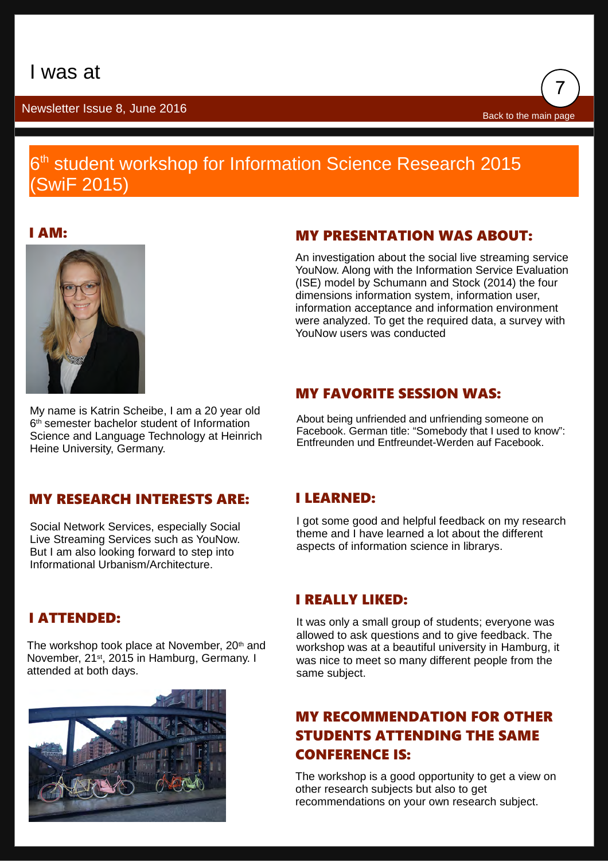

### 6<sup>th</sup> student workshop for Information Science Research 2015 (SwiF 2015)

I AM:



My name is Katrin Scheibe, I am a 20 year old 6 th semester bachelor student of Information Science and Language Technology at Heinrich Heine University, Germany.

### MY PRESENTATION WAS ABOUT:

An investigation about the social live streaming service YouNow. Along with the Information Service Evaluation (ISE) model by Schumann and Stock (2014) the four dimensions information system, information user, information acceptance and information environment were analyzed. To get the required data, a survey with YouNow users was conducted

### MY FAVORITE SESSION WAS:

About being unfriended and unfriending someone on Facebook. German title: "Somebody that I used to know": Entfreunden und Entfreundet-Werden auf Facebook.

### MY RESEARCH INTERESTS ARE:

Social Network Services, especially Social Live Streaming Services such as YouNow. But I am also looking forward to step into Informational Urbanism/Architecture.

### I ATTENDED:

The workshop took place at November, 20<sup>th</sup> and November, 21st, 2015 in Hamburg, Germany. I attended at both days.



### I LEARNED:

I got some good and helpful feedback on my research theme and I have learned a lot about the different aspects of information science in librarys.

### I REALLY LIKED:

It was only a small group of students; everyone was allowed to ask questions and to give feedback. The workshop was at a beautiful university in Hamburg, it was nice to meet so many different people from the same subject.

### MY RECOMMENDATION FOR OTHER STUDENTS ATTENDING THE SAME CONFERENCE IS:

The workshop is a good opportunity to get a view on other research subjects but also to get recommendations on your own research subject.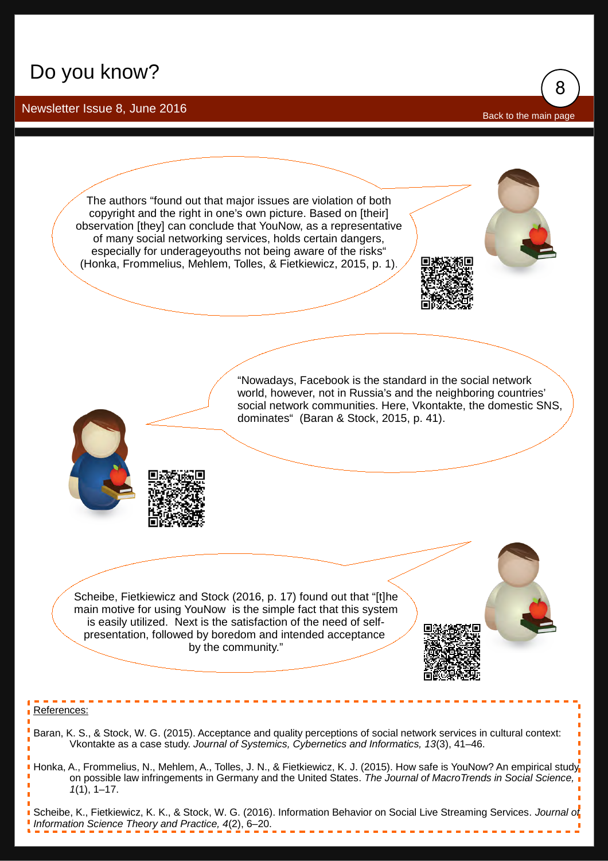## <span id="page-8-0"></span>Do you know?

#### Newsletter Issue 8, June 2016

[Back to the main page](#page-0-0)

8



Scheibe, K., Fietkiewicz, K. K., & Stock, W. G. (2016). Information Behavior on Social Live Streaming Services. *Journal of Information Science Theory and Practice, 4*(2), 6–20.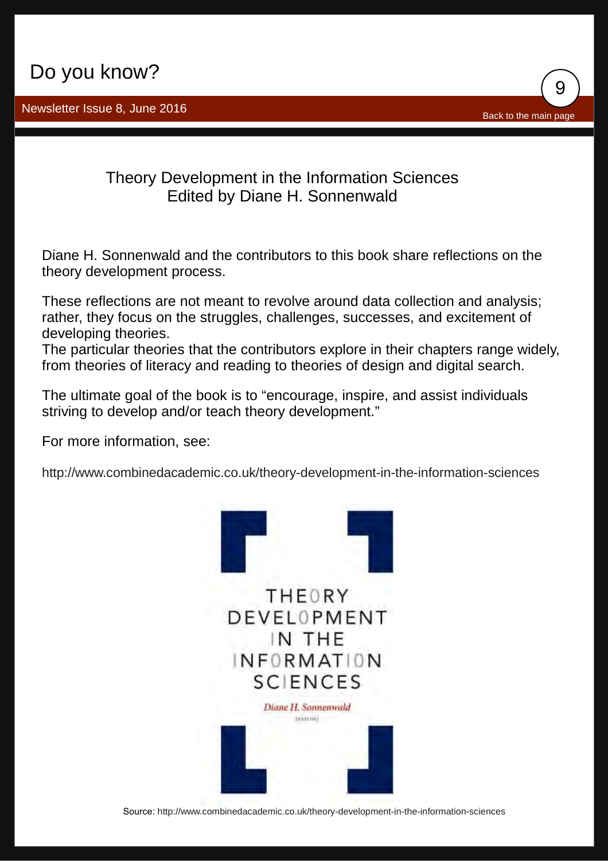

Theory Development in the Information Sciences Edited by Diane H. Sonnenwald

Diane H. Sonnenwald and the contributors to this book share reflections on the theory development process.

These reflections are not meant to revolve around data collection and analysis; rather, they focus on the struggles, challenges, successes, and excitement of developing theories.

The particular theories that the contributors explore in their chapters range widely, from theories of literacy and reading to theories of design and digital search.

The ultimate goal of the book is to "encourage, inspire, and assist individuals striving to develop and/or teach theory development."

For more information, see:

<http://www.combinedacademic.co.uk/theory-development-in-the-information-sciences>



Source: <http://www.combinedacademic.co.uk/theory-development-in-the-information-sciences>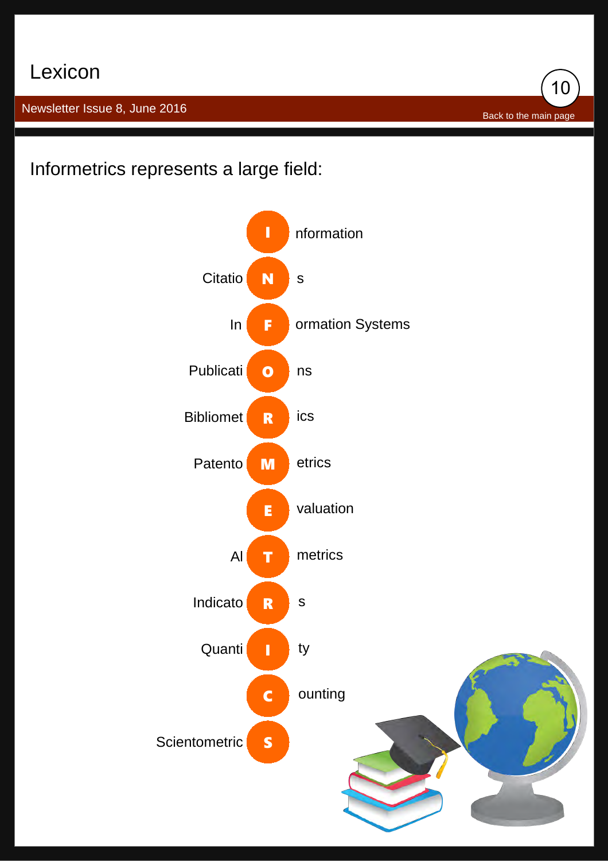## <span id="page-10-0"></span>Lexicon

Newsletter Issue 8, June 2016

[Back to the main page](#page-0-0)

10

Informetrics represents a large field:

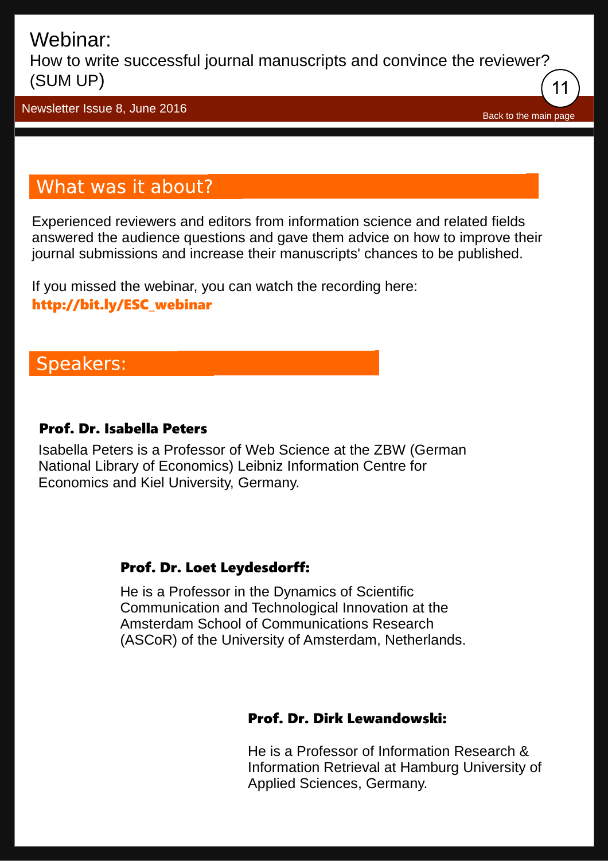<span id="page-11-0"></span>How to write successful journal manuscripts and convince the reviewer? (SUM UP) 11

Newsletter Issue 8, June 2016

[Back to the main page](#page-0-0)

## What was it about?

Experienced reviewers and editors from information science and related fields answered the audience questions and gave them advice on how to improve their journal submissions and increase their manuscripts' chances to be published.

If you missed the webinar, you can watch the recording here: [http://bit.ly/ESC\\_webinar](http://bit.ly/ESC_webinar)

## **Speakers:**

### Prof. Dr. Isabella Peters

Isabella Peters is a Professor of Web Science at the ZBW (German National Library of Economics) Leibniz Information Centre for Economics and Kiel University, Germany.

### Prof. Dr. Loet Leydesdorff:

He is a Professor in the Dynamics of Scientific Communication and Technological Innovation at the Amsterdam School of Communications Research (ASCoR) of the University of Amsterdam, Netherlands.

### Prof. Dr. Dirk Lewandowski:

He is a Professor of Information Research & Information Retrieval at Hamburg University of Applied Sciences, Germany.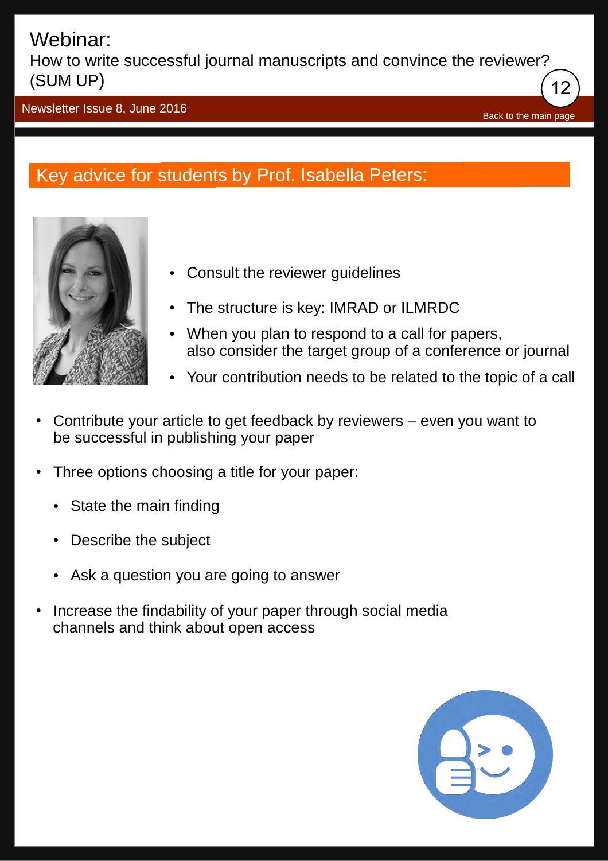How to write successful journal manuscripts and convince the reviewer? (SUM UP) 12

Newsletter Issue 8, June 2016

[Back to the main page](#page-0-0)

## Key advice for students by Prof. Isabella Peters:



- **Consult the reviewer quidelines**
- The structure is key: IMRAD or ILMRDC
- When you plan to respond to a call for papers, also consider the target group of a conference or journal
- Your contribution needs to be related to the topic of a call
- Contribute your article to get feedback by reviewers even you want to be successful in publishing your paper
- Three options choosing a title for your paper:
	- State the main finding
	- **Describe the subject**
	- Ask a question you are going to answer
- Increase the findability of your paper through social media channels and think about open access

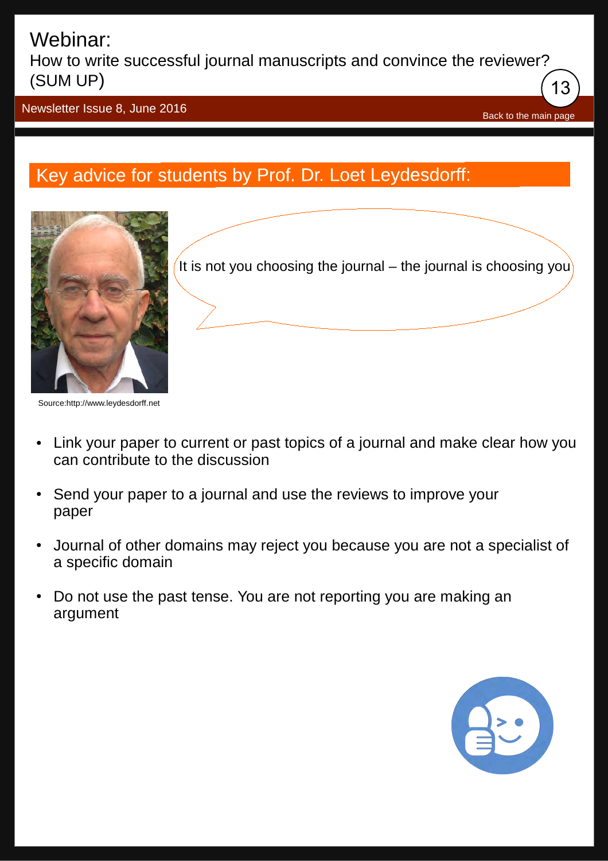How to write successful journal manuscripts and convince the reviewer? (SUM UP) 13

Newsletter Issue 8, June 2016

## Key advice for students by Prof. Dr. Loet Leydesdorff:



It is not you choosing the journal – the journal is choosing you

Source[:http://www.leydesdorff.net](http://www.leydesdorff.net/)

- Link your paper to current or past topics of a journal and make clear how you can contribute to the discussion
- Send your paper to a journal and use the reviews to improve your paper
- Journal of other domains may reject you because you are not a specialist of a specific domain
- Do not use the past tense. You are not reporting you are making an argument



[Back to the main page](#page-0-0)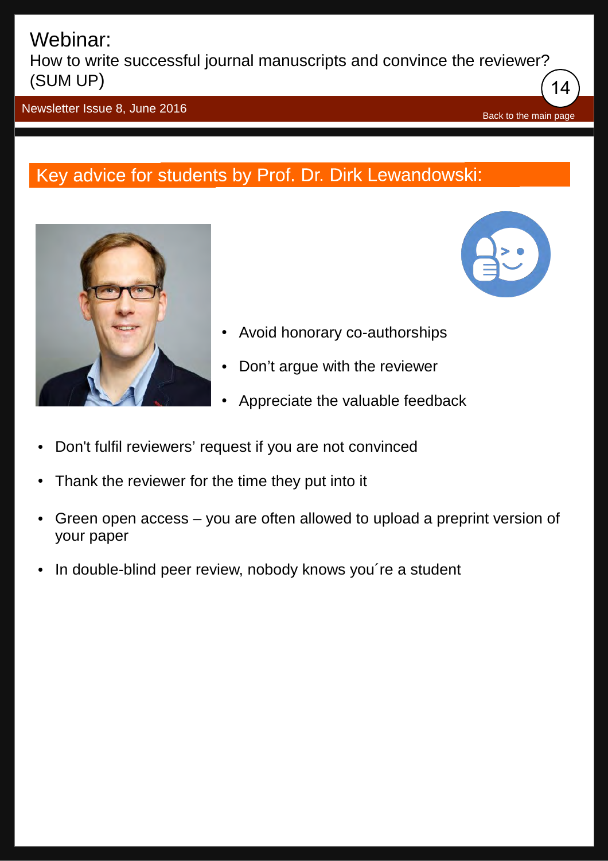How to write successful journal manuscripts and convince the reviewer? (SUM UP) 14

Newsletter Issue 8, June 2016

## Key advice for students by Prof. Dr. Dirk Lewandowski:





[Back to the main page](#page-0-0)

- Avoid honorary co-authorships
- Don't argue with the reviewer
- Appreciate the valuable feedback
- Don't fulfil reviewers' request if you are not convinced
- Thank the reviewer for the time they put into it
- Green open access you are often allowed to upload a preprint version of your paper
- In double-blind peer review, nobody knows you're a student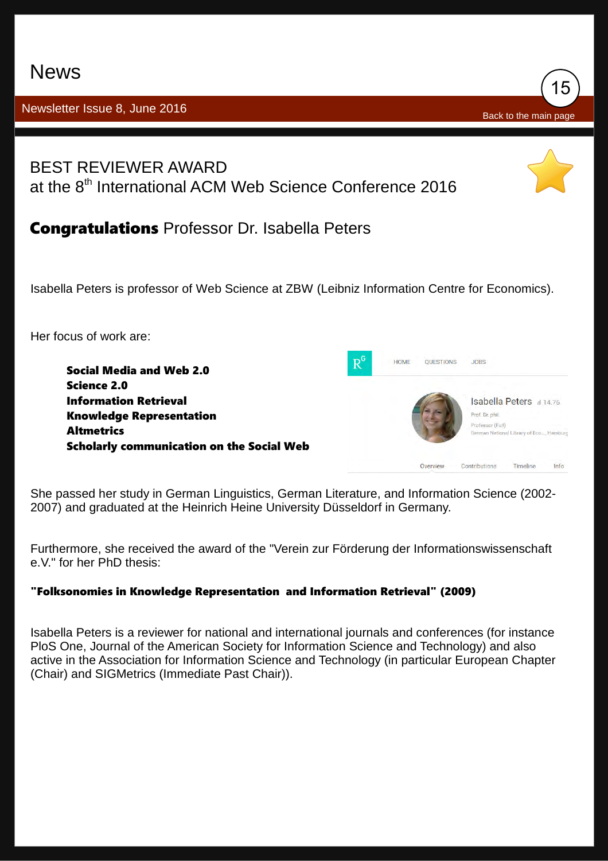## <span id="page-15-0"></span>News

### Newsletter Issue 8, June 2016



**Congratulations** Professor Dr. Isabella Peters

Isabella Peters is professor of Web Science at ZBW (Leibniz Information Centre for Economics).

15

[Back to the main page](#page-0-0)

Her focus of work are:



She passed her study in German Linguistics, German Literature, and Information Science (2002- 2007) and graduated at the Heinrich Heine University Düsseldorf in Germany.

Furthermore, she received the award of the "Verein zur Förderung der Informationswissenschaft e.V." for her PhD thesis:

#### "Folksonomies in Knowledge Representation and Information Retrieval" (2009)

Isabella Peters is a reviewer for national and international journals and conferences (for instance PloS One, Journal of the American Society for Information Science and Technology) and also active in the Association for Information Science and Technology (in particular European Chapter (Chair) and SIGMetrics (Immediate Past Chair)).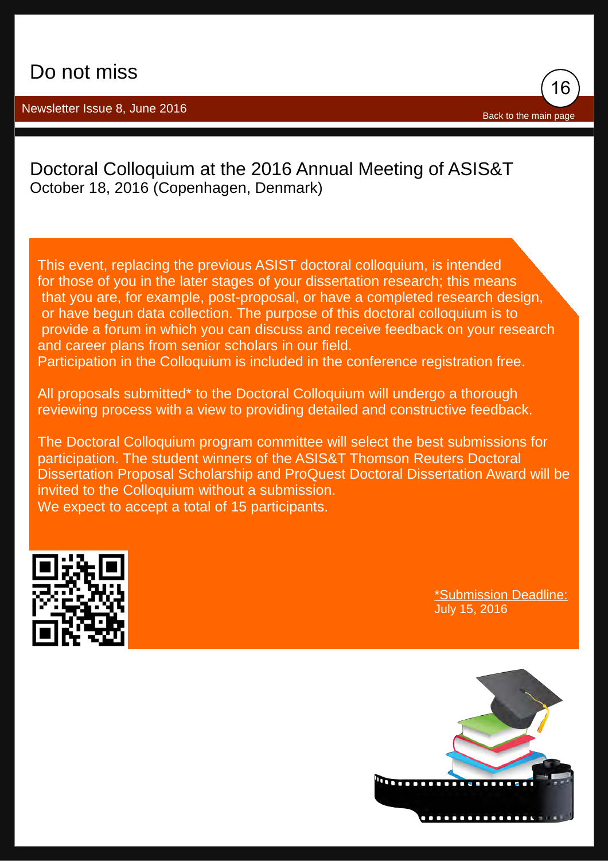<span id="page-16-0"></span>Newsletter Issue 8, June 2016



### [Doctoral Colloquium at the 2016 Annual Meeting of ASIS&T](http://bit.ly/ESC_Announcement_DoctoralColloquium) October 18, 2016 (Copenhagen, Denmark)

This event, replacing the previous ASIST doctoral colloquium, is intended for those of you in the later stages of your dissertation research; this means that you are, for example, post-proposal, or have a completed research design, or have begun data collection. The purpose of this doctoral colloquium is to provide a forum in which you can discuss and receive feedback on your research and career plans from senior scholars in our field.

Participation in the Colloquium is included in the conference registration free.

All proposals submitted\* to the Doctoral Colloquium will undergo a thorough reviewing process with a view to providing detailed and constructive feedback.

The Doctoral Colloquium program committee will select the best submissions for participation. The student winners of the ASIS&T Thomson Reuters Doctoral Dissertation Proposal Scholarship and ProQuest Doctoral Dissertation Award will be invited to the Colloquium without a submission. We expect to accept a total of 15 participants.



\*Submission Deadline: July 15, 2016

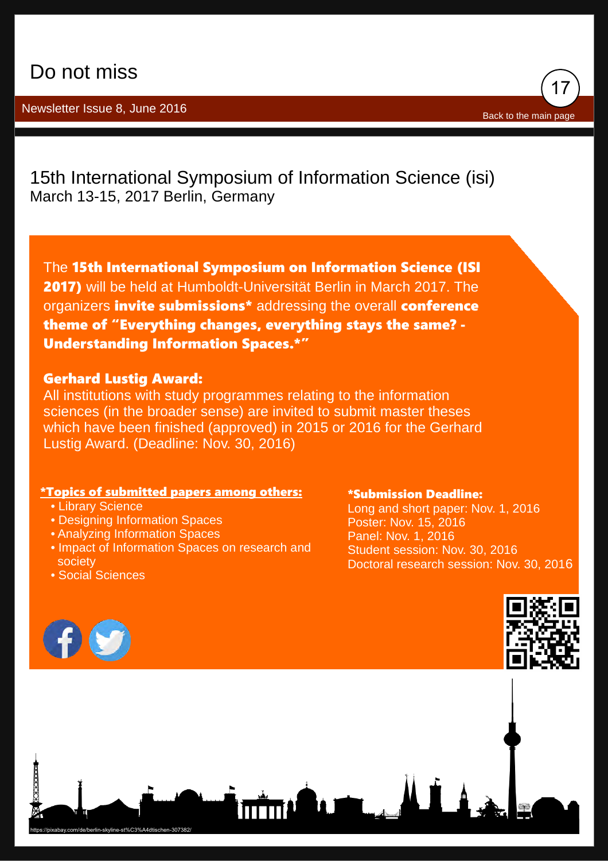### Newsletter Issue 8, June 2016

[15th International Symposium of Information Science \(isi\)](http://isi2017.ib.hu-berlin.de/) March 13-15, 2017 Berlin, Germany

The 15th International Symposium on Information Science (ISI 2017) will be held at Humboldt-Universität Berlin in March 2017. The organizers *invite submissions\** addressing the overall conference theme of "Everything changes, everything stays the same? - Understanding Information Spaces.\*"

#### Gerhard Lustig Award:

All institutions with study programmes relating to the information sciences (in the broader sense) are invited to submit master theses which have been finished (approved) in 2015 or 2016 for the Gerhard Lustig Award. (Deadline: Nov. 30, 2016)

#### \*Topics of submitted papers among others:

- Library Science
- Designing Information Spaces
- Analyzing Information Spaces
- Impact of Information Spaces on research and society
- Social Sciences

#### \*Submission Deadline:

Long and short paper: Nov. 1, 2016 Poster: Nov. 15, 2016 Panel: Nov. 1, 2016 Student session: Nov. 30, 2016 Doctoral research session: Nov. 30, 2016





17

[Back to the main page](#page-0-0)

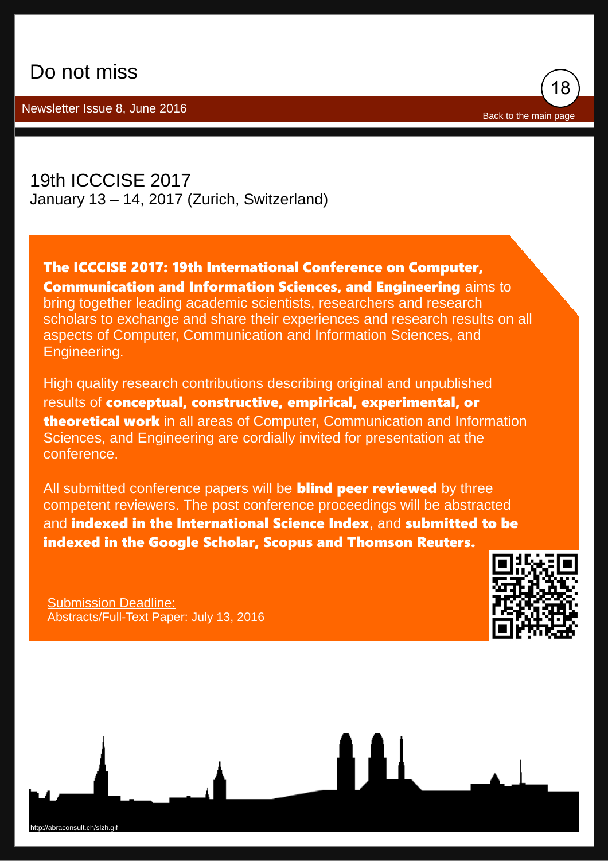Newsletter Issue 8, June 2016



[19th ICCCISE 2017](https://waset.org/conference/2017/01/zurich/ICCCISE) January 13 – 14, 2017 (Zurich, Switzerland)

The ICCCISE 2017: 19th International Conference on Computer, Communication and Information Sciences, and Engineering aims to bring together leading academic scientists, researchers and research scholars to exchange and share their experiences and research results on all aspects of Computer, Communication and Information Sciences, and Engineering.

High quality research contributions describing original and unpublished results of conceptual, constructive, empirical, experimental, or theoretical work in all areas of Computer, Communication and Information Sciences, and Engineering are cordially invited for presentation at the conference.

All submitted conference papers will be **blind peer reviewed** by three competent reviewers. The post conference proceedings will be abstracted and indexed in the International Science Index, and submitted to be indexed in the Google Scholar, Scopus and Thomson Reuters.

Submission Deadline: Abstracts/Full-Text Paper: July 13, 2016



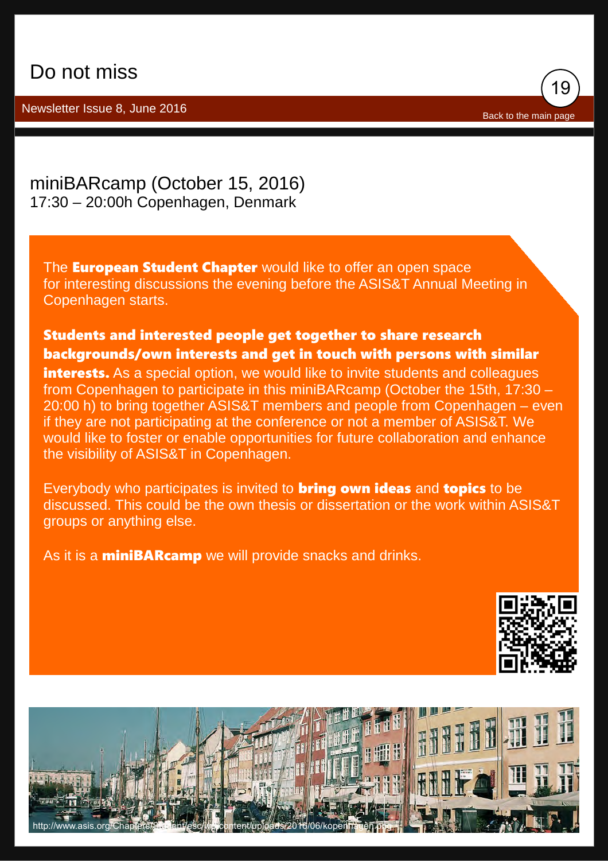Newsletter Issue 8, June 2016



[miniBARcamp \(October 15, 2016\)](http://bit.ly/miniBARcamp_ESC) 17:30 – 20:00h Copenhagen, Denmark

The **European Student Chapter** would like to offer an open space for interesting discussions the evening before the ASIS&T Annual Meeting in Copenhagen starts.

### Students and interested people get together to share research backgrounds/own interests and get in touch with persons with similar

interests. As a special option, we would like to invite students and colleagues from Copenhagen to participate in this miniBARcamp (October the 15th, 17:30 – 20:00 h) to bring together ASIS&T members and people from Copenhagen – even if they are not participating at the conference or not a member of ASIS&T. We would like to foster or enable opportunities for future collaboration and enhance the visibility of ASIS&T in Copenhagen.

Everybody who participates is invited to **bring own ideas** and **topics** to be discussed. This could be the own thesis or dissertation or the work within ASIS&T groups or anything else.

As it is a **miniBARcamp** we will provide snacks and drinks.



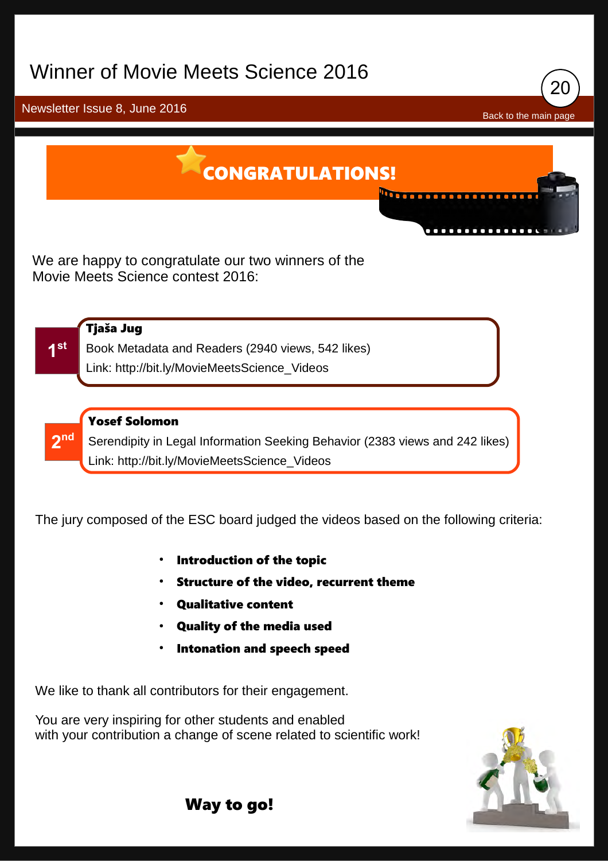## <span id="page-20-0"></span>Winner of Movie Meets Science 2016



We are happy to congratulate our two winners of the Movie Meets Science contest 2016:

**1 st**

#### Tjaša Jug

Book Metadata and Readers (2940 views, 542 likes) Link: [http://bit.ly/MovieMeetsScience\\_Videos](http://bit.ly/MovieMeetsScience_Videos)

**2 nd**

#### Yosef Solomon

Serendipity in Legal Information Seeking Behavior (2383 views and 242 likes) Link: [http://bit.ly/MovieMeetsScience\\_Videos](http://bit.ly/MovieMeetsScience_Videos)

The jury composed of the ESC board judged the videos based on the following criteria:

- Introduction of the topic
- Structure of the video, recurrent theme
- **Qualitative content**
- Quality of the media used
- Intonation and speech speed

We like to thank all contributors for their engagement.

You are very inspiring for other students and enabled with your contribution a change of scene related to scientific work!



Way to go!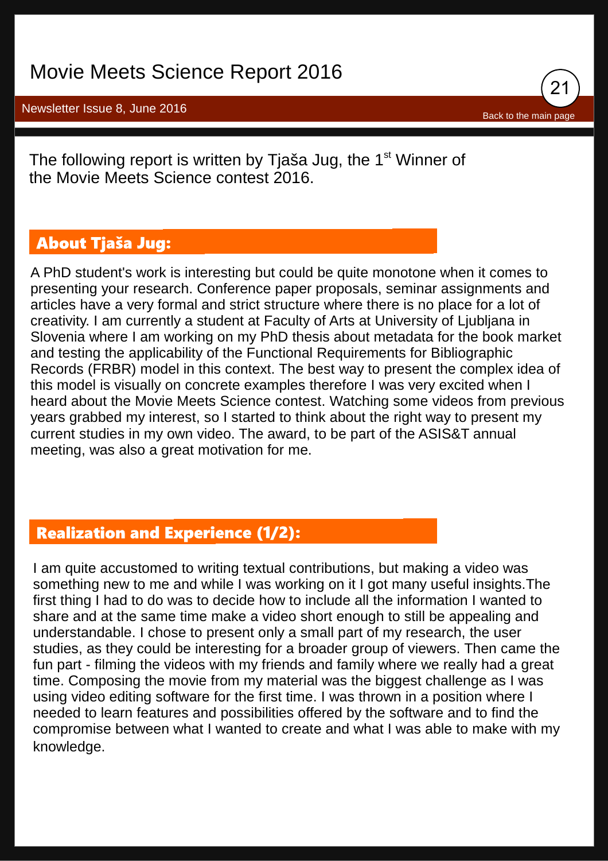## Movie Meets Science Report 2016

Newsletter Issue 8, June 2016



The following report is written by Tjaša Jug, the  $1<sup>st</sup>$  Winner of the Movie Meets Science contest 2016.

### **About Tjaša Jug:**

A PhD student's work is interesting but could be quite monotone when it comes to presenting your research. Conference paper proposals, seminar assignments and articles have a very formal and strict structure where there is no place for a lot of creativity. I am currently a student at Faculty of Arts at University of Ljubljana in Slovenia where I am working on my PhD thesis about metadata for the book market and testing the applicability of the Functional Requirements for Bibliographic Records (FRBR) model in this context. The best way to present the complex idea of this model is visually on concrete examples therefore I was very excited when I heard about the Movie Meets Science contest. Watching some videos from previous years grabbed my interest, so I started to think about the right way to present my current studies in my own video. The award, to be part of the ASIS&T annual meeting, was also a great motivation for me.

### **Realization and Experience (1/2):**

I am quite accustomed to writing textual contributions, but making a video was something new to me and while I was working on it I got many useful insights. The first thing I had to do was to decide how to include all the information I wanted to share and at the same time make a video short enough to still be appealing and understandable. I chose to present only a small part of my research, the user studies, as they could be interesting for a broader group of viewers. Then came the fun part - filming the videos with my friends and family where we really had a great time. Composing the movie from my material was the biggest challenge as I was using video editing software for the first time. I was thrown in a position where I needed to learn features and possibilities offered by the software and to find the compromise between what I wanted to create and what I was able to make with my knowledge.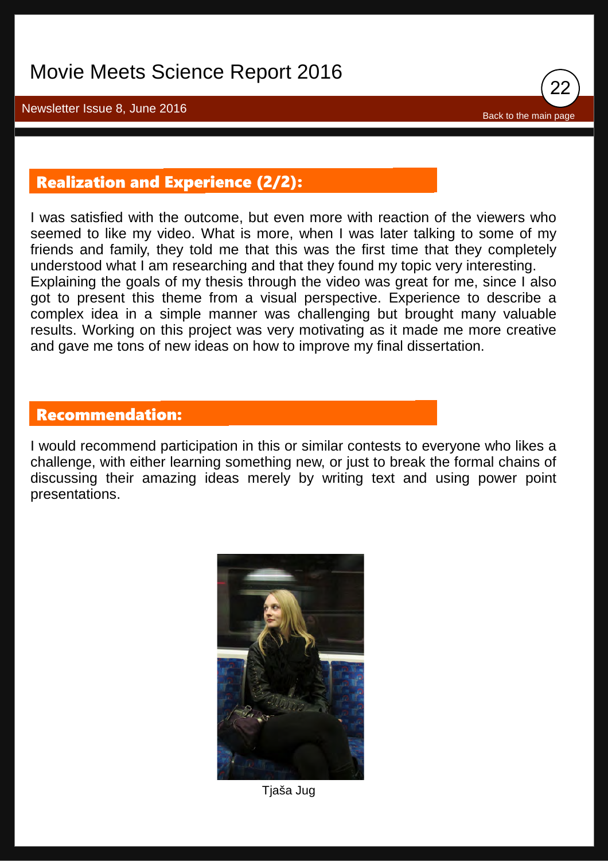

### **Realization and Experience (2/2):**

I was satisfied with the outcome, but even more with reaction of the viewers who seemed to like my video. What is more, when I was later talking to some of my friends and family, they told me that this was the first time that they completely understood what I am researching and that they found my topic very interesting. Explaining the goals of my thesis through the video was great for me, since I also got to present this theme from a visual perspective. Experience to describe a complex idea in a simple manner was challenging but brought many valuable results. Working on this project was very motivating as it made me more creative and gave me tons of new ideas on how to improve my final dissertation.

### **Recommendation:**

I would recommend participation in this or similar contests to everyone who likes a challenge, with either learning something new, or just to break the formal chains of discussing their amazing ideas merely by writing text and using power point presentations.



Tjaša Jug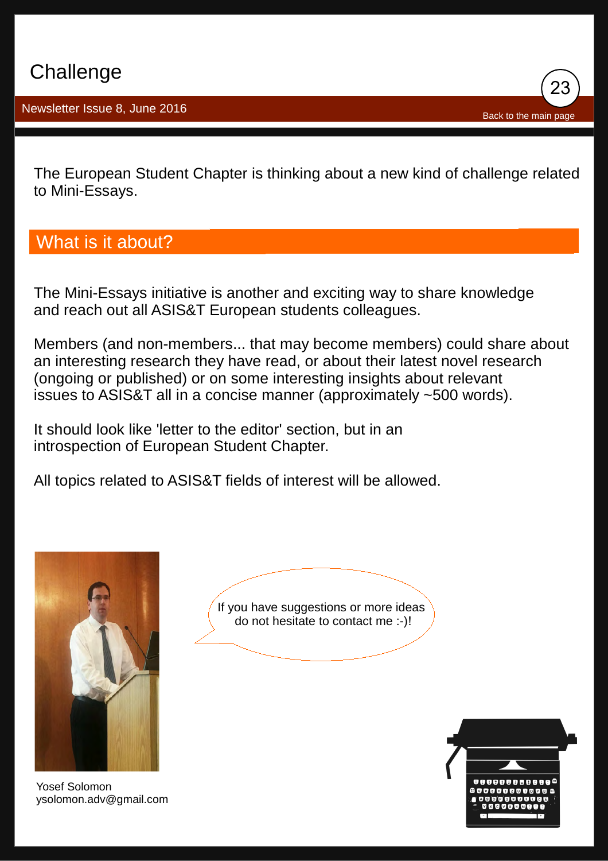23 [Back to the main page](#page-0-0)

<span id="page-23-0"></span>The European Student Chapter is thinking about a new kind of challenge related to Mini-Essays.

## What is it about?

The Mini-Essays initiative is another and exciting way to share knowledge and reach out all ASIS&T European students colleagues.

Members (and non-members... that may become members) could share about an interesting research they have read, or about their latest novel research (ongoing or published) or on some interesting insights about relevant issues to ASIS&T all in a concise manner (approximately ~500 words).

It should look like 'letter to the editor' section, but in an introspection of European Student Chapter.

All topics related to ASIS&T fields of interest will be allowed.



Yosef Solomon [ysolomon.adv@gmail.com](mailto:Ysolomon.adv@gmail.com)



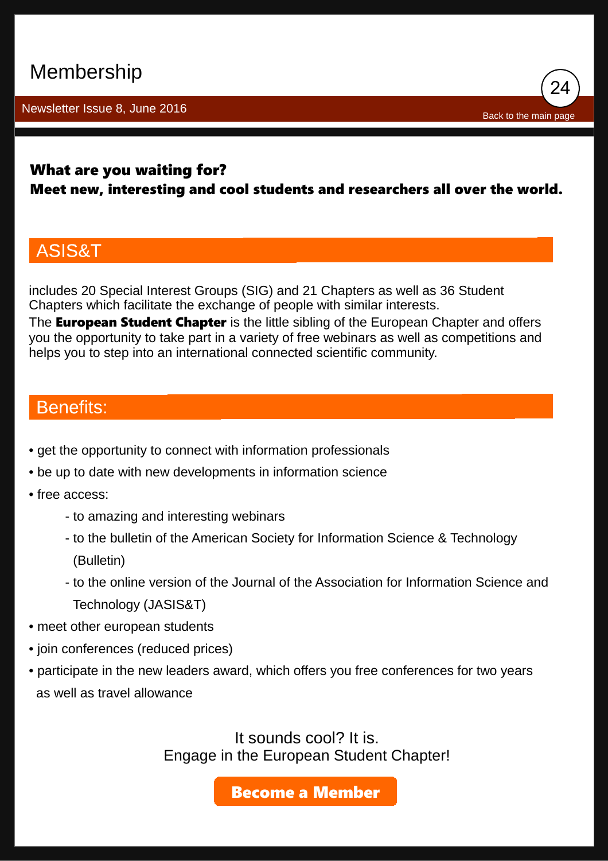## <span id="page-24-0"></span>Membership

Newsletter Issue 8, June 2016

24 [Back to the main page](#page-0-0)

### What are you waiting for?

### Meet new, interesting and cool students and researchers all over the world.

### ASIS&T

includes 20 Special Interest Groups (SIG) and 21 Chapters as well as 36 Student Chapters which facilitate the exchange of people with similar interests.

The **European Student Chapter** is the little sibling of the European Chapter and offers you the opportunity to take part in a variety of free webinars as well as competitions and helps you to step into an international connected scientific community.

### **Benefits:**

- get the opportunity to connect with information professionals
- be up to date with new developments in information science
- free access:
	- to amazing and interesting webinars
	- to the bulletin of the American Society for Information Science & Technology (Bulletin)
	- to the online version of the Journal of the Association for Information Science and Technology (JASIS&T)
- meet other european students
- join conferences (reduced prices)
- participate in the new leaders award, which offers you free conferences for two years as well as travel allowance

It sounds cool? It is. Engage in the European Student Chapter!

[Become a Member](http://www.asis.org/Join/)